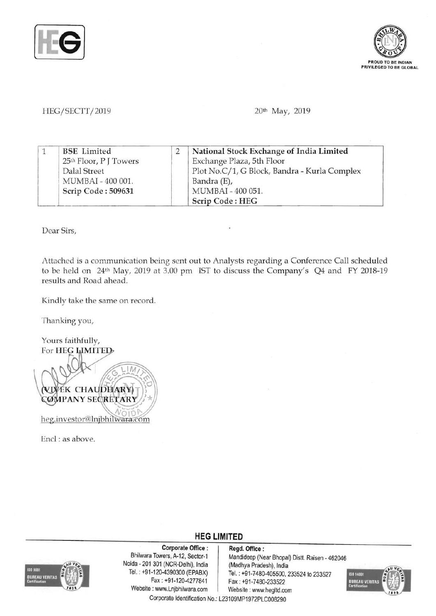



## HEG*I SECTTI 2019* 20th May, 2019

|  | <b>BSE</b> Limited     | National Stock Exchange of India Limited     |
|--|------------------------|----------------------------------------------|
|  | 25th Floor, P J Towers | Exchange Plaza, 5th Floor                    |
|  | <b>Dalal Street</b>    | Plot No.C/1, G Block, Bandra - Kurla Complex |
|  | MUMBAI - 400 001.      | Bandra (E),                                  |
|  | Scrip Code: 509631     | MUMBAI - 400 051.                            |
|  |                        | Scrip Code: HEG                              |

Dear Sirs,

Attached is a communication being sent out to Analysts regarding a Conference Call scheduled to be held on 24th May, 2019 at 3.00 pm IST to discuss the Company's Q4 and FY 2018-19 results and Road ahead.

Kindly take the same on record.

Thanking you,

Yours faithfully, For HEG LIMITED  $1M$ **VIVEK CHAUDHARY** CØMPANY SECRETARY heg.investor@lnjbhilwara.com

End : as above.



Corporate Office: Regd. Office:<br>Bhilwara Towers, A-12, Sector-1 Mandideep (Ne Noida - 201 301 (NCR-Delhi), India (Madhya Pradesh), India Website: www.Lnjbhilwara.com | Website: www.hegltd.com

Mandideep (Near Bhopal) Distt. Raisen - 462046 Tel.: +91-120-4390300 (EPABX)<br>Fax: +91-7480-405500, 233524 to 233527<br>Fax: +91-7480-233522 Fax: +91-7480-233522



Corporate Identification No.: L23109MP1972PLC008290

**HEG LIMITED**